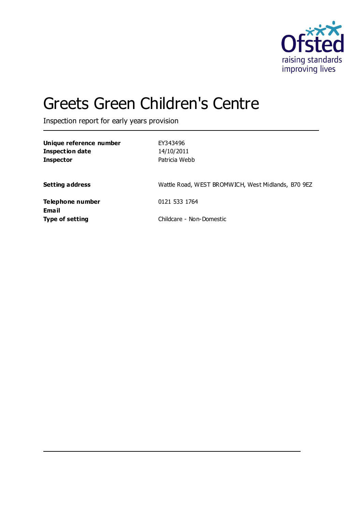

# Greets Green Children's Centre

Inspection report for early years provision

| Unique reference number<br><b>Inspection date</b><br><b>Inspector</b> | EY343496<br>14/10/2011<br>Patricia Webb            |
|-----------------------------------------------------------------------|----------------------------------------------------|
| <b>Setting address</b>                                                | Wattle Road, WEST BROMWICH, West Midlands, B70 9EZ |
| Telephone number<br>Email                                             | 0121 533 1764                                      |
| <b>Type of setting</b>                                                | Childcare - Non-Domestic                           |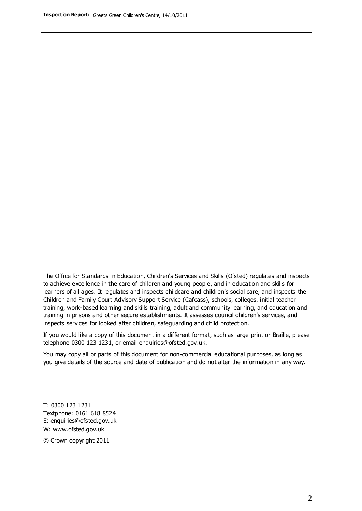The Office for Standards in Education, Children's Services and Skills (Ofsted) regulates and inspects to achieve excellence in the care of children and young people, and in education and skills for learners of all ages. It regulates and inspects childcare and children's social care, and inspects the Children and Family Court Advisory Support Service (Cafcass), schools, colleges, initial teacher training, work-based learning and skills training, adult and community learning, and education and training in prisons and other secure establishments. It assesses council children's services, and inspects services for looked after children, safeguarding and child protection.

If you would like a copy of this document in a different format, such as large print or Braille, please telephone 0300 123 1231, or email enquiries@ofsted.gov.uk.

You may copy all or parts of this document for non-commercial educational purposes, as long as you give details of the source and date of publication and do not alter the information in any way.

T: 0300 123 1231 Textphone: 0161 618 8524 E: enquiries@ofsted.gov.uk W: [www.ofsted.gov.uk](http://www.ofsted.gov.uk/)

© Crown copyright 2011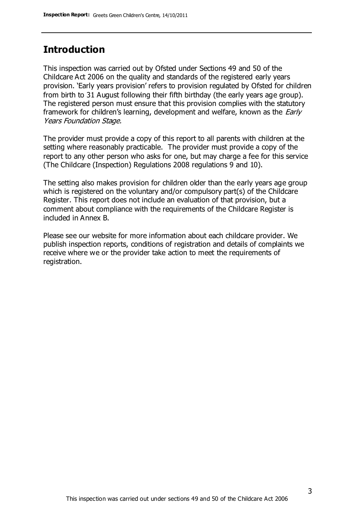### **Introduction**

This inspection was carried out by Ofsted under Sections 49 and 50 of the Childcare Act 2006 on the quality and standards of the registered early years provision. 'Early years provision' refers to provision regulated by Ofsted for children from birth to 31 August following their fifth birthday (the early years age group). The registered person must ensure that this provision complies with the statutory framework for children's learning, development and welfare, known as the *Early* Years Foundation Stage.

The provider must provide a copy of this report to all parents with children at the setting where reasonably practicable. The provider must provide a copy of the report to any other person who asks for one, but may charge a fee for this service (The Childcare (Inspection) Regulations 2008 regulations 9 and 10).

The setting also makes provision for children older than the early years age group which is registered on the voluntary and/or compulsory part(s) of the Childcare Register. This report does not include an evaluation of that provision, but a comment about compliance with the requirements of the Childcare Register is included in Annex B.

Please see our website for more information about each childcare provider. We publish inspection reports, conditions of registration and details of complaints we receive where we or the provider take action to meet the requirements of registration.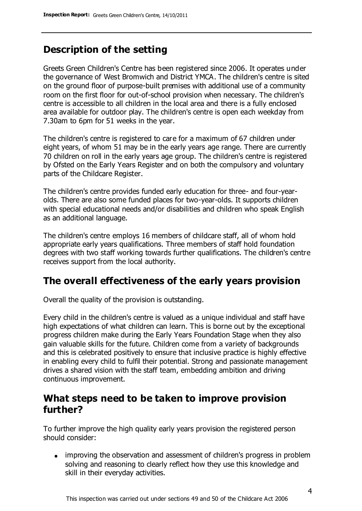### **Description of the setting**

Greets Green Children's Centre has been registered since 2006. It operates under the governance of West Bromwich and District YMCA. The children's centre is sited on the ground floor of purpose-built premises with additional use of a community room on the first floor for out-of-school provision when necessary. The children's centre is accessible to all children in the local area and there is a fully enclosed area available for outdoor play. The children's centre is open each weekday from 7.30am to 6pm for 51 weeks in the year.

The children's centre is registered to care for a maximum of 67 children under eight years, of whom 51 may be in the early years age range. There are currently 70 children on roll in the early years age group. The children's centre is registered by Ofsted on the Early Years Register and on both the compulsory and voluntary parts of the Childcare Register.

The children's centre provides funded early education for three- and four-yearolds. There are also some funded places for two-year-olds. It supports children with special educational needs and/or disabilities and children who speak English as an additional language.

The children's centre employs 16 members of childcare staff, all of whom hold appropriate early years qualifications. Three members of staff hold foundation degrees with two staff working towards further qualifications. The children's centre receives support from the local authority.

### **The overall effectiveness of the early years provision**

Overall the quality of the provision is outstanding.

Every child in the children's centre is valued as a unique individual and staff have high expectations of what children can learn. This is borne out by the exceptional progress children make during the Early Years Foundation Stage when they also gain valuable skills for the future. Children come from a variety of backgrounds and this is celebrated positively to ensure that inclusive practice is highly effective in enabling every child to fulfil their potential. Strong and passionate management drives a shared vision with the staff team, embedding ambition and driving continuous improvement.

### **What steps need to be taken to improve provision further?**

To further improve the high quality early years provision the registered person should consider:

• improving the observation and assessment of children's progress in problem solving and reasoning to clearly reflect how they use this knowledge and skill in their everyday activities.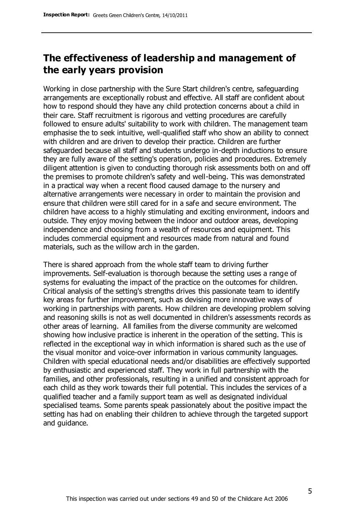### **The effectiveness of leadership and management of the early years provision**

Working in close partnership with the Sure Start children's centre, safeguarding arrangements are exceptionally robust and effective. All staff are confident about how to respond should they have any child protection concerns about a child in their care. Staff recruitment is rigorous and vetting procedures are carefully followed to ensure adults' suitability to work with children. The management team emphasise the to seek intuitive, well-qualified staff who show an ability to connect with children and are driven to develop their practice. Children are further safeguarded because all staff and students undergo in-depth inductions to ensure they are fully aware of the setting's operation, policies and procedures. Extremely diligent attention is given to conducting thorough risk assessments both on and off the premises to promote children's safety and well-being. This was demonstrated in a practical way when a recent flood caused damage to the nursery and alternative arrangements were necessary in order to maintain the provision and ensure that children were still cared for in a safe and secure environment. The children have access to a highly stimulating and exciting environment, indoors and outside. They enjoy moving between the indoor and outdoor areas, developing independence and choosing from a wealth of resources and equipment. This includes commercial equipment and resources made from natural and found materials, such as the willow arch in the garden.

There is shared approach from the whole staff team to driving further improvements. Self-evaluation is thorough because the setting uses a range of systems for evaluating the impact of the practice on the outcomes for children. Critical analysis of the setting's strengths drives this passionate team to identify key areas for further improvement, such as devising more innovative ways of working in partnerships with parents. How children are developing problem solving and reasoning skills is not as well documented in children's assessments records as other areas of learning. All families from the diverse community are welcomed showing how inclusive practice is inherent in the operation of the setting. This is reflected in the exceptional way in which information is shared such as the use of the visual monitor and voice-over information in various community languages. Children with special educational needs and/or disabilities are effectively supported by enthusiastic and experienced staff. They work in full partnership with the families, and other professionals, resulting in a unified and consistent approach for each child as they work towards their full potential. This includes the services of a qualified teacher and a family support team as well as designated individual specialised teams. Some parents speak passionately about the positive impact the setting has had on enabling their children to achieve through the targeted support and guidance.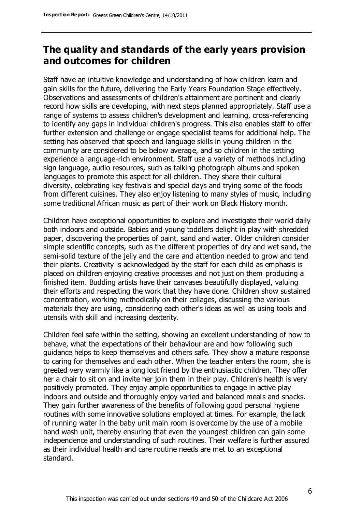### **The quality and standards of the early years provision and outcomes for children**

Staff have an intuitive knowledge and understanding of how children learn and gain skills for the future, delivering the Early Years Foundation Stage effectively. Observations and assessments of children's attainment are pertinent and clearly record how skills are developing, with next steps planned appropriately. Staff use a range of systems to assess children's development and learning, cross-referencing to identify any gaps in individual children's progress. This also enables staff to offer further extension and challenge or engage specialist teams for additional help. The setting has observed that speech and language skills in young children in the community are considered to be below average, and so children in the setting experience a language-rich environment. Staff use a variety of methods including sign language, audio resources, such as talking photograph albums and spoken languages to promote this aspect for all children. They share their cultural diversity, celebrating key festivals and special days and trying some of the foods from different cuisines. They also enjoy listening to many styles of music, including some traditional African music as part of their work on Black History month.

Children have exceptional opportunities to explore and investigate their world daily both indoors and outside. Babies and young toddlers delight in play with shredded paper, discovering the properties of paint, sand and water. Older children consider simple scientific concepts, such as the different properties of dry and wet sand, the semi-solid texture of the jelly and the care and attention needed to grow and tend their plants. Creativity is acknowledged by the staff for each child as emphasis is placed on children enjoying creative processes and not just on them producing a finished item. Budding artists have their canvases beautifully displayed, valuing their efforts and respecting the work that they have done. Children show sustained concentration, working methodically on their collages, discussing the various materials they are using, considering each other's ideas as well as using tools and utensils with skill and increasing dexterity.

Children feel safe within the setting, showing an excellent understanding of how to behave, what the expectations of their behaviour are and how following such guidance helps to keep themselves and others safe. They show a mature response to caring for themselves and each other. When the teacher enters the room, she is greeted very warmly like a long lost friend by the enthusiastic children. They offer her a chair to sit on and invite her join them in their play. Children's health is very positively promoted. They enjoy ample opportunities to engage in active play indoors and outside and thoroughly enjoy varied and balanced meals and snacks. They gain further awareness of the benefits of following good personal hygiene routines with some innovative solutions employed at times. For example, the lack of running water in the baby unit main room is overcome by the use of a mobile hand wash unit, thereby ensuring that even the youngest children can gain some independence and understanding of such routines. Their welfare is further assured as their individual health and care routine needs are met to an exceptional standard.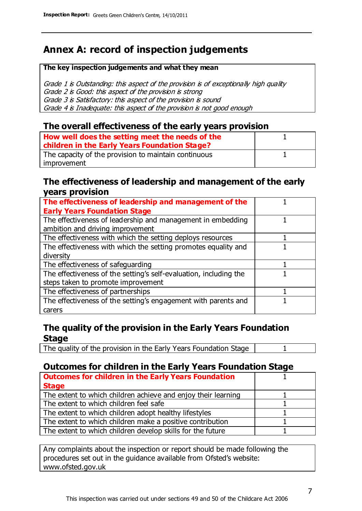### **Annex A: record of inspection judgements**

#### **The key inspection judgements and what they mean**

Grade 1 is Outstanding: this aspect of the provision is of exceptionally high quality Grade 2 is Good: this aspect of the provision is strong Grade 3 is Satisfactory: this aspect of the provision is sound Grade 4 is Inadequate: this aspect of the provision is not good enough

### **The overall effectiveness of the early years provision**

| How well does the setting meet the needs of the<br>children in the Early Years Foundation Stage? |  |
|--------------------------------------------------------------------------------------------------|--|
| The capacity of the provision to maintain continuous                                             |  |
| improvement                                                                                      |  |

### **The effectiveness of leadership and management of the early years provision**

| The effectiveness of leadership and management of the             |  |
|-------------------------------------------------------------------|--|
| <b>Early Years Foundation Stage</b>                               |  |
| The effectiveness of leadership and management in embedding       |  |
| ambition and driving improvement                                  |  |
| The effectiveness with which the setting deploys resources        |  |
| The effectiveness with which the setting promotes equality and    |  |
| diversity                                                         |  |
| The effectiveness of safeguarding                                 |  |
| The effectiveness of the setting's self-evaluation, including the |  |
| steps taken to promote improvement                                |  |
| The effectiveness of partnerships                                 |  |
| The effectiveness of the setting's engagement with parents and    |  |
| carers                                                            |  |

### **The quality of the provision in the Early Years Foundation Stage**

The quality of the provision in the Early Years Foundation Stage | 1

### **Outcomes for children in the Early Years Foundation Stage**

| <b>Outcomes for children in the Early Years Foundation</b>    |  |
|---------------------------------------------------------------|--|
| <b>Stage</b>                                                  |  |
| The extent to which children achieve and enjoy their learning |  |
| The extent to which children feel safe                        |  |
| The extent to which children adopt healthy lifestyles         |  |
| The extent to which children make a positive contribution     |  |
| The extent to which children develop skills for the future    |  |

Any complaints about the inspection or report should be made following the procedures set out in the guidance available from Ofsted's website: www.ofsted.gov.uk